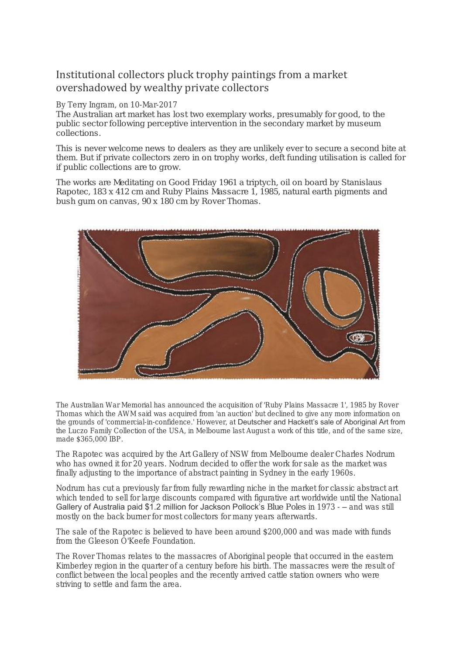## Institutional collectors pluck trophy paintings from a market overshadowed by wealthy private collectors

## By Terry Ingram, on 10-Mar-2017

The Australian art market has lost two exemplary works, presumably for good, to the public sector following perceptive intervention in the secondary market by museum collections.

This is never welcome news to dealers as they are unlikely ever to secure a second bite at them. But if private collectors zero in on trophy works, deft funding utilisation is called for if public collections are to grow.

The works are *Meditating on Good Friday* 1961 a triptych, oil on board by Stanislaus Rapotec, 183 x 412 cm and *Ruby Plains Massacre* 1, 1985, natural earth pigments and bush gum on canvas, 90 x 180 cm by Rover Thomas.



The Australian War Memorial has announced the acquisition of 'Ruby Plains Massacre 1', 1985 by Rover Thomas which the AWM said was acquired from 'an auction' but declined to give any more information on the grounds of 'commercial-in-confidence.' However, at Deutscher and Hackett's sale of Aboriginal Art from the Luczo Family Collection of the USA, in Melbourne last August a work of this title, and of the same size, made \$365,000 IBP.

The Rapotec was acquired by the Art Gallery of NSW from Melbourne dealer Charles Nodrum who has owned it for 20 years. Nodrum decided to offer the work for sale as the market was finally adjusting to the importance of abstract painting in Sydney in the early 1960s.

Nodrum has cut a previously far from fully rewarding niche in the market for classic abstract art which tended to sell for large discounts compared with figurative art worldwide until the National Gallery of Australia paid \$1.2 million for Jackson Pollock's *Blue Poles* in 1973 - – and was still mostly on the back burner for most collectors for many years afterwards.

The sale of the Rapotec is believed to have been around \$200,000 and was made with funds from the Gleeson O'Keefe Foundation.

The Rover Thomas relates to the massacres of Aboriginal people that occurred in the eastern Kimberley region in the quarter of a century before his birth. The massacres were the result of conflict between the local peoples and the recently arrived cattle station owners who were striving to settle and farm the area.